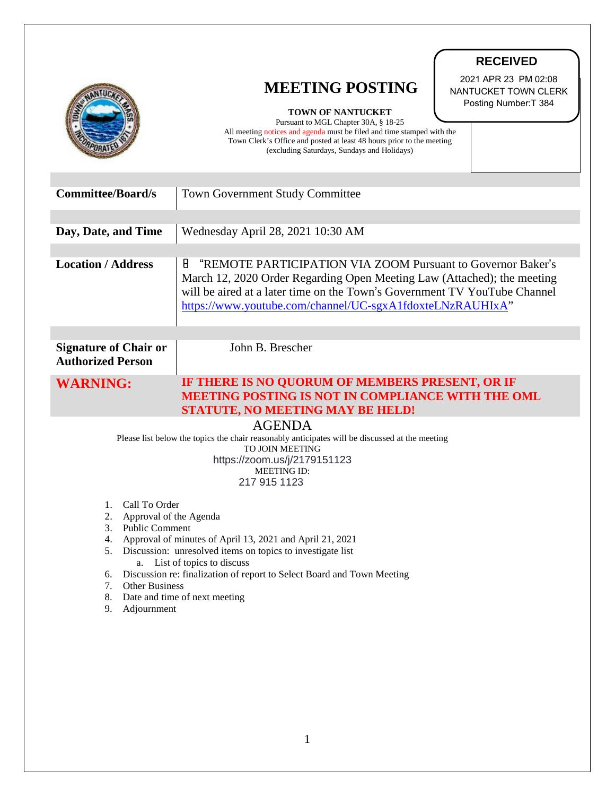|                                                                                                                                                                                                                                                                                                                                                                                                                     | <b>RECEIVED</b>                                                                                                                                                                                                                                                                       |
|---------------------------------------------------------------------------------------------------------------------------------------------------------------------------------------------------------------------------------------------------------------------------------------------------------------------------------------------------------------------------------------------------------------------|---------------------------------------------------------------------------------------------------------------------------------------------------------------------------------------------------------------------------------------------------------------------------------------|
|                                                                                                                                                                                                                                                                                                                                                                                                                     | 2021 APR 23 PM 02:08<br><b>MEETING POSTING</b><br>NANTUCKET TOWN CLERK<br>Posting Number: T 384<br>TOWN OF NANTUCKET<br>Pursuant to MGL Chapter 30A, § 18-25<br>All meeting notices and agenda must be filed and time stamped with the                                                |
|                                                                                                                                                                                                                                                                                                                                                                                                                     | Town Clerk's Office and posted at least 48 hours prior to the meeting<br>(excluding Saturdays, Sundays and Holidays)                                                                                                                                                                  |
| <b>Committee/Board/s</b>                                                                                                                                                                                                                                                                                                                                                                                            | <b>Town Government Study Committee</b>                                                                                                                                                                                                                                                |
| Day, Date, and Time                                                                                                                                                                                                                                                                                                                                                                                                 | Wednesday April 28, 2021 10:30 AM                                                                                                                                                                                                                                                     |
| <b>Location / Address</b>                                                                                                                                                                                                                                                                                                                                                                                           | 8<br>"REMOTE PARTICIPATION VIA ZOOM Pursuant to Governor Baker's<br>March 12, 2020 Order Regarding Open Meeting Law (Attached); the meeting<br>will be aired at a later time on the Town's Government TV YouTube Channel<br>https://www.youtube.com/channel/UC-sgxA1fdoxteLNzRAUHIxA" |
| <b>Signature of Chair or</b><br><b>Authorized Person</b>                                                                                                                                                                                                                                                                                                                                                            | John B. Brescher                                                                                                                                                                                                                                                                      |
| <b>WARNING:</b>                                                                                                                                                                                                                                                                                                                                                                                                     | IF THERE IS NO QUORUM OF MEMBERS PRESENT, OR IF<br><b>MEETING POSTING IS NOT IN COMPLIANCE WITH THE OML</b><br><b>STATUTE, NO MEETING MAY BE HELD!</b>                                                                                                                                |
| <b>AGENDA</b><br>Please list below the topics the chair reasonably anticipates will be discussed at the meeting<br>TO JOIN MEETING<br>https://zoom.us/j/2179151123<br><b>MEETING ID:</b><br>217 915 1123                                                                                                                                                                                                            |                                                                                                                                                                                                                                                                                       |
| Call To Order<br>1.<br>2.<br>Approval of the Agenda<br><b>Public Comment</b><br>3.<br>Approval of minutes of April 13, 2021 and April 21, 2021<br>4.<br>Discussion: unresolved items on topics to investigate list<br>5.<br>a. List of topics to discuss<br>Discussion re: finalization of report to Select Board and Town Meeting<br>6.<br>7. Other Business<br>8. Date and time of next meeting<br>9. Adjournment |                                                                                                                                                                                                                                                                                       |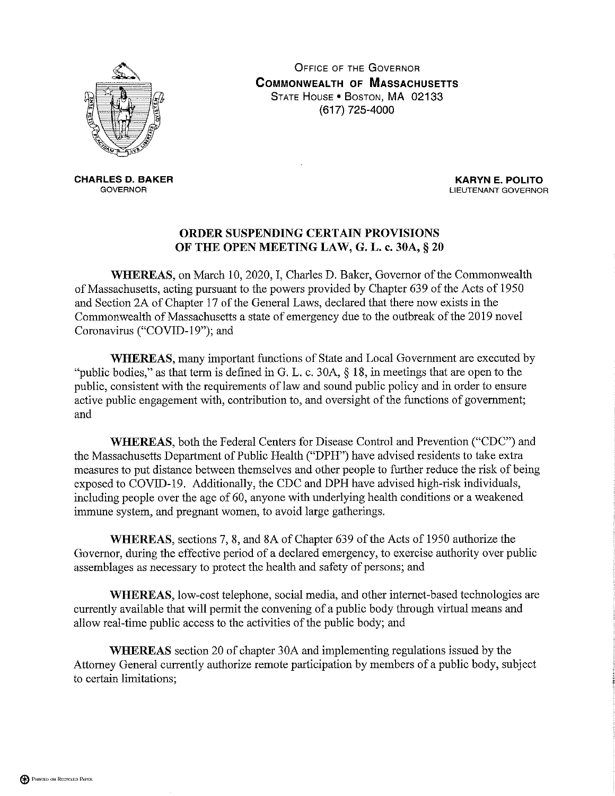

**OFFICE OF THE GOVERNOR COMMONWEALTH OF MASSACHUSETTS** STATE HOUSE . BOSTON, MA 02133 (617) 725-4000

**CHARLES D. BAKER GOVERNOR** 

**KARYN E. POLITO** LIEUTENANT GOVERNOR

## ORDER SUSPENDING CERTAIN PROVISIONS OF THE OPEN MEETING LAW, G. L. c. 30A, § 20

WHEREAS, on March 10, 2020, I, Charles D. Baker, Governor of the Commonwealth of Massachusetts, acting pursuant to the powers provided by Chapter 639 of the Acts of 1950 and Section 2A of Chapter 17 of the General Laws, declared that there now exists in the Commonwealth of Massachusetts a state of emergency due to the outbreak of the 2019 novel Coronavirus ("COVID-19"); and

**WHEREAS**, many important functions of State and Local Government are executed by "public bodies," as that term is defined in G. L. c. 30A,  $\S$  18, in meetings that are open to the public, consistent with the requirements of law and sound public policy and in order to ensure active public engagement with, contribution to, and oversight of the functions of government; and

WHEREAS, both the Federal Centers for Disease Control and Prevention ("CDC") and the Massachusetts Department of Public Health ("DPH") have advised residents to take extra measures to put distance between themselves and other people to further reduce the risk of being exposed to COVID-19. Additionally, the CDC and DPH have advised high-risk individuals, including people over the age of 60, anyone with underlying health conditions or a weakened immune system, and pregnant women, to avoid large gatherings.

WHEREAS, sections 7, 8, and 8A of Chapter 639 of the Acts of 1950 authorize the Governor, during the effective period of a declared emergency, to exercise authority over public assemblages as necessary to protect the health and safety of persons; and

WHEREAS, low-cost telephone, social media, and other internet-based technologies are currently available that will permit the convening of a public body through virtual means and allow real-time public access to the activities of the public body; and

**WHEREAS** section 20 of chapter 30A and implementing regulations issued by the Attorney General currently authorize remote participation by members of a public body, subject to certain limitations;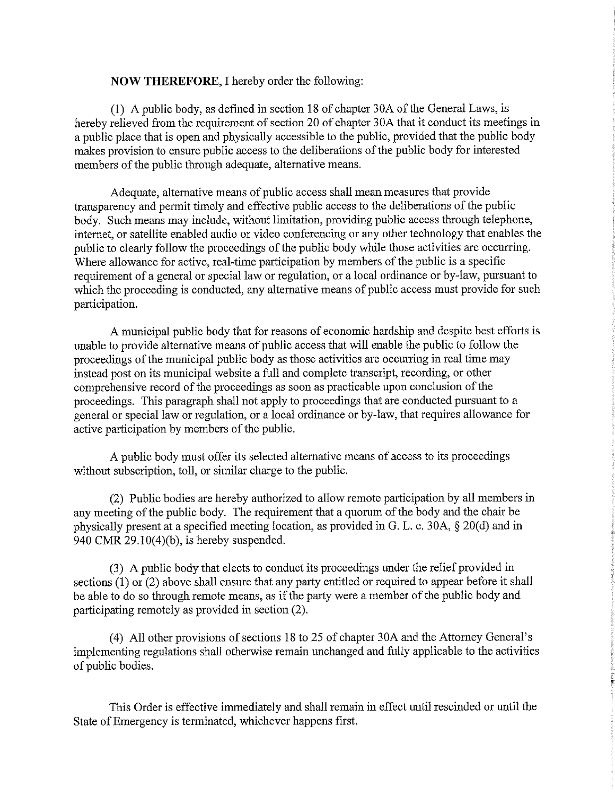## **NOW THEREFORE, I hereby order the following:**

(1) A public body, as defined in section 18 of chapter 30A of the General Laws, is hereby relieved from the requirement of section 20 of chapter 30A that it conduct its meetings in a public place that is open and physically accessible to the public, provided that the public body makes provision to ensure public access to the deliberations of the public body for interested members of the public through adequate, alternative means.

Adequate, alternative means of public access shall mean measures that provide transparency and permit timely and effective public access to the deliberations of the public body. Such means may include, without limitation, providing public access through telephone, internet, or satellite enabled audio or video conferencing or any other technology that enables the public to clearly follow the proceedings of the public body while those activities are occurring. Where allowance for active, real-time participation by members of the public is a specific requirement of a general or special law or regulation, or a local ordinance or by-law, pursuant to which the proceeding is conducted, any alternative means of public access must provide for such participation.

A municipal public body that for reasons of economic hardship and despite best efforts is unable to provide alternative means of public access that will enable the public to follow the proceedings of the municipal public body as those activities are occurring in real time may instead post on its municipal website a full and complete transcript, recording, or other comprehensive record of the proceedings as soon as practicable upon conclusion of the proceedings. This paragraph shall not apply to proceedings that are conducted pursuant to a general or special law or regulation, or a local ordinance or by-law, that requires allowance for active participation by members of the public.

A public body must offer its selected alternative means of access to its proceedings without subscription, toll, or similar charge to the public.

(2) Public bodies are hereby authorized to allow remote participation by all members in any meeting of the public body. The requirement that a quorum of the body and the chair be physically present at a specified meeting location, as provided in G. L. c. 30A, § 20(d) and in 940 CMR  $29.10(4)(b)$ , is hereby suspended.

(3) A public body that elects to conduct its proceedings under the relief provided in sections  $(1)$  or  $(2)$  above shall ensure that any party entitled or required to appear before it shall be able to do so through remote means, as if the party were a member of the public body and participating remotely as provided in section (2).

(4) All other provisions of sections 18 to 25 of chapter 30A and the Attorney General's implementing regulations shall otherwise remain unchanged and fully applicable to the activities of public bodies.

This Order is effective immediately and shall remain in effect until rescinded or until the State of Emergency is terminated, whichever happens first.